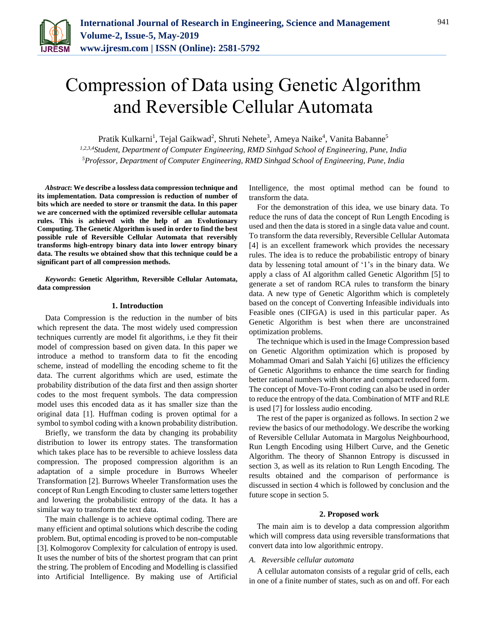

# Compression of Data using Genetic Algorithm and Reversible Cellular Automata

Pratik Kulkarni<sup>1</sup>, Tejal Gaikwad<sup>2</sup>, Shruti Nehete<sup>3</sup>, Ameya Naike<sup>4</sup>, Vanita Babanne<sup>5</sup>

*1,2,3,4Student, Department of Computer Engineering, RMD Sinhgad School of Engineering, Pune, India 5Professor, Department of Computer Engineering, RMD Sinhgad School of Engineering, Pune, India*

*Abstract***: We describe a lossless data compression technique and its implementation. Data compression is reduction of number of bits which are needed to store or transmit the data. In this paper we are concerned with the optimized reversible cellular automata rules. This is achieved with the help of an Evolutionary Computing. The Genetic Algorithm is used in order to find the best possible rule of Reversible Cellular Automata that reversibly transforms high-entropy binary data into lower entropy binary data. The results we obtained show that this technique could be a significant part of all compression methods.**

*Keywords***: Genetic Algorithm, Reversible Cellular Automata, data compression**

## **1. Introduction**

Data Compression is the reduction in the number of bits which represent the data. The most widely used compression techniques currently are model fit algorithms, i.e they fit their model of compression based on given data. In this paper we introduce a method to transform data to fit the encoding scheme, instead of modelling the encoding scheme to fit the data. The current algorithms which are used, estimate the probability distribution of the data first and then assign shorter codes to the most frequent symbols. The data compression model uses this encoded data as it has smaller size than the original data [1]. Huffman coding is proven optimal for a symbol to symbol coding with a known probability distribution.

Briefly, we transform the data by changing its probability distribution to lower its entropy states. The transformation which takes place has to be reversible to achieve lossless data compression. The proposed compression algorithm is an adaptation of a simple procedure in Burrows Wheeler Transformation [2]. Burrows Wheeler Transformation uses the concept of Run Length Encoding to cluster same letters together and lowering the probabilistic entropy of the data. It has a similar way to transform the text data.

The main challenge is to achieve optimal coding. There are many efficient and optimal solutions which describe the coding problem. But, optimal encoding is proved to be non-computable [3]. Kolmogorov Complexity for calculation of entropy is used. It uses the number of bits of the shortest program that can print the string. The problem of Encoding and Modelling is classified into Artificial Intelligence. By making use of Artificial

Intelligence, the most optimal method can be found to transform the data.

For the demonstration of this idea, we use binary data. To reduce the runs of data the concept of Run Length Encoding is used and then the data is stored in a single data value and count. To transform the data reversibly, Reversible Cellular Automata [4] is an excellent framework which provides the necessary rules. The idea is to reduce the probabilistic entropy of binary data by lessening total amount of '1's in the binary data. We apply a class of AI algorithm called Genetic Algorithm [5] to generate a set of random RCA rules to transform the binary data. A new type of Genetic Algorithm which is completely based on the concept of Converting Infeasible individuals into Feasible ones (CIFGA) is used in this particular paper. As Genetic Algorithm is best when there are unconstrained optimization problems.

The technique which is used in the Image Compression based on Genetic Algorithm optimization which is proposed by Mohammad Omari and Salah Yaichi [6] utilizes the efficiency of Genetic Algorithms to enhance the time search for finding better rational numbers with shorter and compact reduced form. The concept of Move-To-Front coding can also be used in order to reduce the entropy of the data. Combination of MTF and RLE is used [7] for lossless audio encoding.

The rest of the paper is organized as follows. In section 2 we review the basics of our methodology. We describe the working of Reversible Cellular Automata in Margolus Neighbourhood, Run Length Encoding using Hilbert Curve, and the Genetic Algorithm. The theory of Shannon Entropy is discussed in section 3, as well as its relation to Run Length Encoding. The results obtained and the comparison of performance is discussed in section 4 which is followed by conclusion and the future scope in section 5.

#### **2. Proposed work**

The main aim is to develop a data compression algorithm which will compress data using reversible transformations that convert data into low algorithmic entropy.

## *A. Reversible cellular automata*

A cellular automaton consists of a regular grid of cells, each in one of a finite number of states, such as on and off. For each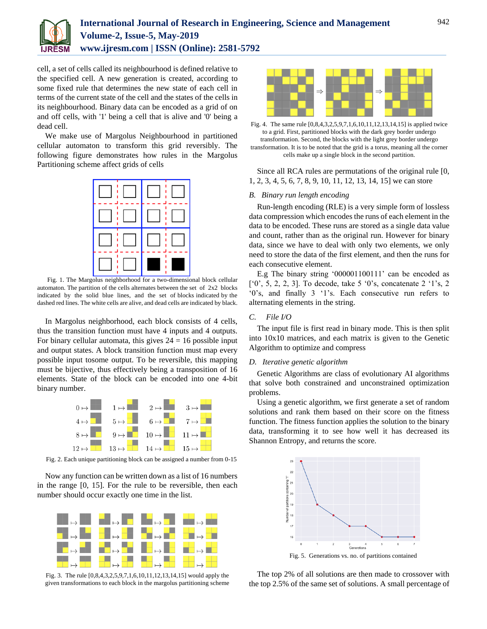

cell, a set of cells called its neighbourhood is defined relative to the specified cell. A new generation is created, according to some fixed rule that determines the new state of each cell in terms of the current state of the cell and the states of the cells in its neighbourhood. Binary data can be encoded as a grid of on and off cells, with '1' being a cell that is alive and '0' being a dead cell.

We make use of Margolus Neighbourhood in partitioned cellular automaton to transform this grid reversibly. The following figure demonstrates how rules in the Margolus Partitioning scheme affect grids of cells



Fig. 1. The Margolus neighborhood for a two-dimensional block cellular automaton. The partition of the cells alternates between the set of 2x2 blocks indicated by the solid blue lines, and the set of blocks indicated by the dashed red lines. The white cells are alive, and dead cells are indicated by black.

In Margolus neighborhood, each block consists of 4 cells, thus the transition function must have 4 inputs and 4 outputs. For binary cellular automata, this gives  $24 = 16$  possible input and output states. A block transition function must map every possible input tosome output. To be reversible, this mapping must be bijective, thus effectively being a transposition of 16 elements. State of the block can be encoded into one 4-bit binary number.



Fig. 2. Each unique partitioning block can be assigned a number from 0-15

Now any function can be written down as a list of 16 numbers in the range [0, 15]. For the rule to be reversible, then each number should occur exactly one time in the list.



Fig. 3. The rule [0,8,4,3,2,5,9,7,1,6,10,11,12,13,14,15] would apply the given transformations to each block in the margolus partitioning scheme



Fig. 4. The same rule [0,8,4,3,2,5,9,7,1,6,10,11,12,13,14,15] is applied twice to a grid. First, partitioned blocks with the dark grey border undergo transformation. Second, the blocks with the light grey border undergo transformation. It is to be noted that the grid is a torus, meaning all the corner cells make up a single block in the second partition.

Since all RCA rules are permutations of the original rule [0, 1, 2, 3, 4, 5, 6, 7, 8, 9, 10, 11, 12, 13, 14, 15] we can store

## *B. Binary run length encoding*

Run-length encoding (RLE) is a very simple form of lossless data compression which encodes the runs of each element in the data to be encoded. These runs are stored as a single data value and count, rather than as the original run. However for binary data, since we have to deal with only two elements, we only need to store the data of the first element, and then the runs for each consecutive element.

E.g The binary string '000001100111' can be encoded as ['0', 5, 2, 2, 3]. To decode, take 5 '0's, concatenate 2 '1's, 2 '0's, and finally 3 '1's. Each consecutive run refers to alternating elements in the string.

# *C. File I/O*

The input file is first read in binary mode. This is then split into 10x10 matrices, and each matrix is given to the Genetic Algorithm to optimize and compress

#### *D. Iterative genetic algorithm*

Genetic Algorithms are class of evolutionary AI algorithms that solve both constrained and unconstrained optimization problems.

Using a genetic algorithm, we first generate a set of random solutions and rank them based on their score on the fitness function. The fitness function applies the solution to the binary data, transforming it to see how well it has decreased its Shannon Entropy, and returns the score.



The top 2% of all solutions are then made to crossover with the top 2.5% of the same set of solutions. A small percentage of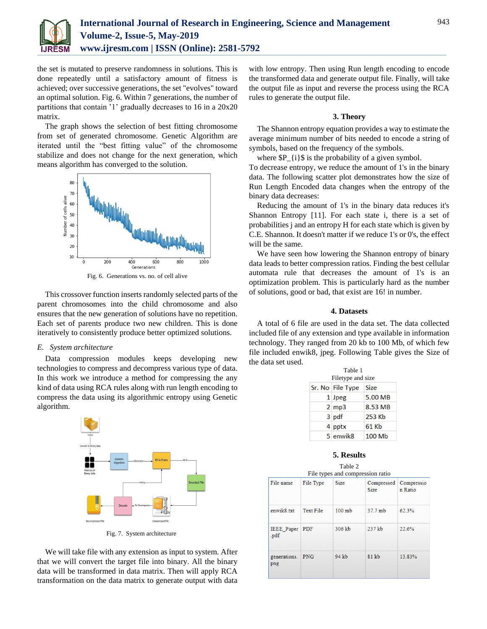

the set is mutated to preserve randomness in solutions. This is done repeatedly until a satisfactory amount of fitness is achieved; over successive generations, the set "evolves" toward an optimal solution. Fig. 6. Within 7 generations, the number of partitions that contain '1' gradually decreases to 16 in a 20x20 matrix.

The graph shows the selection of best fitting chromosome from set of generated chromosome. Genetic Algorithm are iterated until the "best fitting value" of the chromosome stabilize and does not change for the next generation, which means algorithm has converged to the solution.



Fig. 6. Generations vs. no. of cell alive

This crossover function inserts randomly selected parts of the parent chromosomes into the child chromosome and also ensures that the new generation of solutions have no repetition. Each set of parents produce two new children. This is done iteratively to consistently produce better optimized solutions.

## *E. System architecture*

Data compression modules keeps developing new technologies to compress and decompress various type of data. In this work we introduce a method for compressing the any kind of data using RCA rules along with run length encoding to compress the data using its algorithmic entropy using Genetic algorithm.



Fig. 7. System architecture

We will take file with any extension as input to system. After that we will convert the target file into binary. All the binary data will be transformed in data matrix. Then will apply RCA transformation on the data matrix to generate output with data

with low entropy. Then using Run length encoding to encode the transformed data and generate output file. Finally, will take the output file as input and reverse the process using the RCA rules to generate the output file.

### **3. Theory**

The Shannon entropy equation provides a way to estimate the average minimum number of bits needed to encode a string of symbols, based on the frequency of the symbols.

where  $P_{i}$  is the probability of a given symbol.

To decrease entropy, we reduce the amount of 1's in the binary data. The following scatter plot demonstrates how the size of Run Length Encoded data changes when the entropy of the binary data decreases:

Reducing the amount of 1's in the binary data reduces it's Shannon Entropy [11]. For each state i, there is a set of probabilities j and an entropy H for each state which is given by C.E. Shannon. It doesn't matter if we reduce 1's or 0's, the effect will be the same.

We have seen how lowering the Shannon entropy of binary data leads to better compression ratios. Finding the best cellular automata rule that decreases the amount of 1's is an optimization problem. This is particularly hard as the number of solutions, good or bad, that exist are 16! in number.

## **4. Datasets**

A total of 6 file are used in the data set. The data collected included file of any extension and type available in information technology. They ranged from 20 kb to 100 Mb, of which few file included enwik8, jpeg. Following Table gives the Size of the data set used.

| Table 1<br>Filetype and size |             |
|------------------------------|-------------|
| Sr. No File Type             | <b>Size</b> |
| 1 Jpeg                       | 5.00 MB     |
| $2$ mp $3$                   | 8.53 MB     |
| 3 pdf                        | 253 Kb      |
| 4 pptx                       | 61 Kb       |
| 5 enwik8                     | 100 Mb      |

#### **5. Results**

Table 2 File types and compression ratio

| File name              | File Type  | Size   | Compressed<br><b>Size</b> | Compressio<br>n Ratio |
|------------------------|------------|--------|---------------------------|-----------------------|
| enwik8.txt             | Text File  | 100 mb | 37.7 mb                   | 62.3%                 |
| IEEE Paper PDF<br>.pdf |            | 306 kb | 237 kb                    | 22.6%                 |
| generations.<br>png    | <b>PNG</b> | 94 kb  | 81 kb                     | 13.83%                |